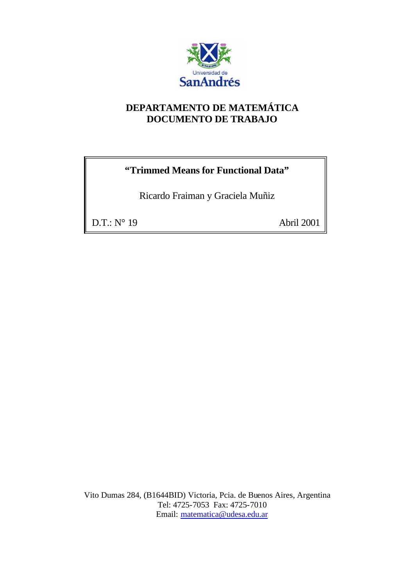

## **DEPARTAMENTO DE MATEMÁTICA DOCUMENTO DE TRABAJO**

## **"Trimmed Means for Functional Data"**

Ricardo Fraiman y Graciela Muñiz

D.T.: N° 19 Abril 2001

Vito Dumas 284, (B1644BID) Victoria, Pcia. de Buenos Aires, Argentina Tel: 4725-7053 Fax: 4725-7010 Email: matematica@udesa.edu.ar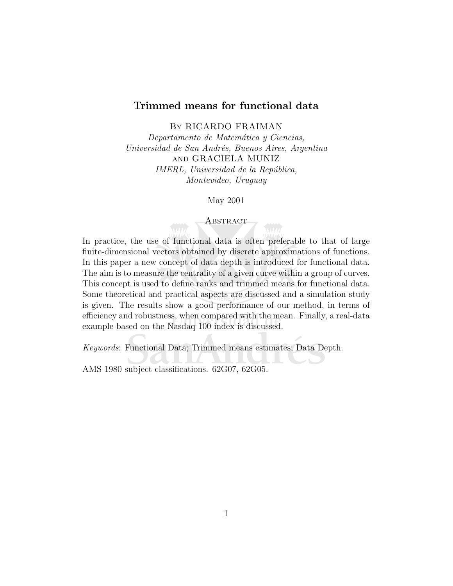#### Trimmed means for functional data

By RICARDO FRAIMAN

Departamento de Matemática y Ciencias, Universidad de San Andrés, Buenos Aires, Argentina and GRACIELA MUNIZ IMERL, Universidad de la República, Montevideo, Uruguay

May 2001

#### **ABSTRACT**

In practice, the use of functional data is often preferable to that of large finite-dimensional vectors obtained by discrete approximations of functions. In this paper a new concept of data depth is introduced for functional data. The aim is to measure the centrality of a given curve within a group of curves. This concept is used to define ranks and trimmed means for functional data. Some theoretical and practical aspects are discussed and a simulation study is given. The results show a good performance of our method, in terms of efficiency and robustness, when compared with the mean. Finally, a real-data example based on the Nasdaq 100 index is discussed.

Keywords: Functional Data; Trimmed means estimates; Data Depth.

AMS 1980 subject classifications. 62G07, 62G05.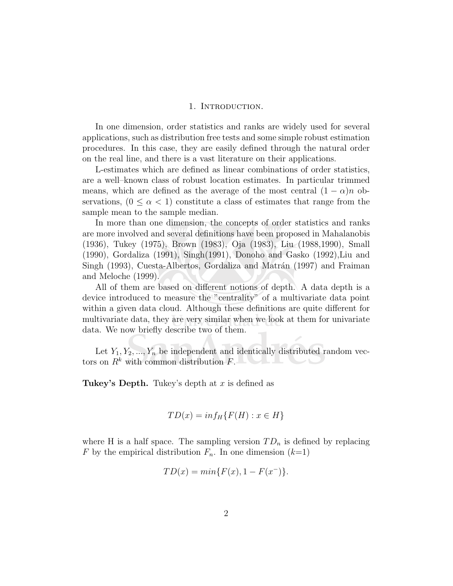#### 1. INTRODUCTION.

In one dimension, order statistics and ranks are widely used for several applications, such as distribution free tests and some simple robust estimation procedures. In this case, they are easily defined through the natural order on the real line, and there is a vast literature on their applications.

L-estimates which are defined as linear combinations of order statistics, are a well–known class of robust location estimates. In particular trimmed means, which are defined as the average of the most central  $(1 - \alpha)n$  observations,  $(0 \le \alpha < 1)$  constitute a class of estimates that range from the sample mean to the sample median.

In more than one dimension, the concepts of order statistics and ranks are more involved and several definitions have been proposed in Mahalanobis (1936), Tukey (1975), Brown (1983), Oja (1983), Liu (1988,1990), Small (1990), Gordaliza (1991), Singh(1991), Donoho and Gasko (1992),Liu and Singh (1993), Cuesta-Albertos, Gordaliza and Matrán (1997) and Fraiman and Meloche (1999).

All of them are based on different notions of depth. A data depth is a device introduced to measure the "centrality" of a multivariate data point within a given data cloud. Although these definitions are quite different for multivariate data, they are very similar when we look at them for univariate data. We now briefly describe two of them.

Let  $Y_1, Y_2, ..., Y_n$  be independent and identically distributed random vectors on  $R^k$  with common distribution  $F$ .

Tukey's Depth. Tukey's depth at  $x$  is defined as

$$
TD(x) = inf_H\{F(H) : x \in H\}
$$

where H is a half space. The sampling version  $TD_n$  is defined by replacing F by the empirical distribution  $F_n$ . In one dimension  $(k=1)$ 

$$
TD(x) = min\{F(x), 1 - F(x^{-})\}.
$$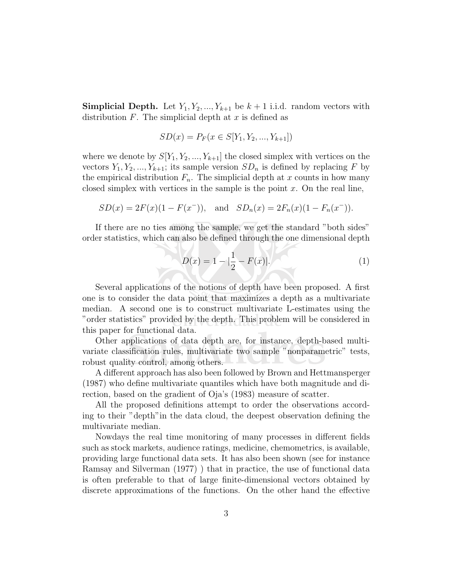**Simplicial Depth.** Let  $Y_1, Y_2, ..., Y_{k+1}$  be  $k+1$  i.i.d. random vectors with distribution  $F$ . The simplicial depth at  $x$  is defined as

$$
SD(x) = P_F(x \in S[Y_1, Y_2, ..., Y_{k+1}])
$$

where we denote by  $S[Y_1, Y_2, ..., Y_{k+1}]$  the closed simplex with vertices on the vectors  $Y_1, Y_2, ..., Y_{k+1}$ ; its sample version  $SD_n$  is defined by replacing F by the empirical distribution  $F_n$ . The simplicial depth at x counts in how many closed simplex with vertices in the sample is the point  $x$ . On the real line,

$$
SD(x) = 2F(x)(1 - F(x^-)), \text{ and } SD_n(x) = 2F_n(x)(1 - F_n(x^-)).
$$

If there are no ties among the sample, we get the standard "both sides" order statistics, which can also be defined through the one dimensional depth

$$
D(x) = 1 - |\frac{1}{2} - F(x)|.
$$
 (1)

Several applications of the notions of depth have been proposed. A first one is to consider the data point that maximizes a depth as a multivariate median. A second one is to construct multivariate L-estimates using the "order statistics" provided by the depth. This problem will be considered in this paper for functional data.

Other applications of data depth are, for instance, depth-based multivariate classification rules, multivariate two sample "nonparametric" tests, robust quality control, among others.

A different approach has also been followed by Brown and Hettmansperger (1987) who define multivariate quantiles which have both magnitude and direction, based on the gradient of Oja's (1983) measure of scatter.

All the proposed definitions attempt to order the observations according to their "depth"in the data cloud, the deepest observation defining the multivariate median.

Nowdays the real time monitoring of many processes in different fields such as stock markets, audience ratings, medicine, chemometrics, is available, providing large functional data sets. It has also been shown (see for instance Ramsay and Silverman (1977) ) that in practice, the use of functional data is often preferable to that of large finite-dimensional vectors obtained by discrete approximations of the functions. On the other hand the effective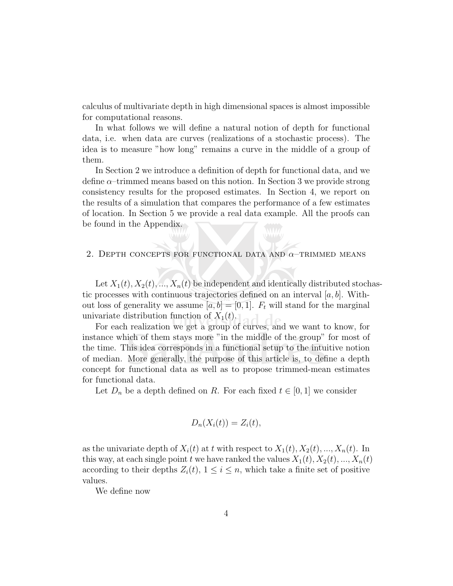calculus of multivariate depth in high dimensional spaces is almost impossible for computational reasons.

In what follows we will define a natural notion of depth for functional data, i.e. when data are curves (realizations of a stochastic process). The idea is to measure "how long" remains a curve in the middle of a group of them.

In Section 2 we introduce a definition of depth for functional data, and we define  $\alpha$ –trimmed means based on this notion. In Section 3 we provide strong consistency results for the proposed estimates. In Section 4, we report on the results of a simulation that compares the performance of a few estimates of location. In Section 5 we provide a real data example. All the proofs can be found in the Appendix.

#### 2. DEPTH CONCEPTS FOR FUNCTIONAL DATA AND  $\alpha$ -TRIMMED MEANS

Let  $X_1(t), X_2(t), ..., X_n(t)$  be independent and identically distributed stochastic processes with continuous trajectories defined on an interval  $[a, b]$ . Without loss of generality we assume  $[a, b] = [0, 1]$ .  $F_t$  will stand for the marginal univariate distribution function of  $X_1(t)$ . ad de

For each realization we get a group of curves, and we want to know, for instance which of them stays more "in the middle of the group" for most of the time. This idea corresponds in a functional setup to the intuitive notion of median. More generally, the purpose of this article is, to define a depth concept for functional data as well as to propose trimmed-mean estimates for functional data.

Let  $D_n$  be a depth defined on R. For each fixed  $t \in [0,1]$  we consider

$$
D_n(X_i(t)) = Z_i(t),
$$

as the univariate depth of  $X_i(t)$  at t with respect to  $X_1(t), X_2(t), ..., X_n(t)$ . In this way, at each single point t we have ranked the values  $X_1(t), X_2(t), ..., X_n(t)$ according to their depths  $Z_i(t)$ ,  $1 \leq i \leq n$ , which take a finite set of positive values.

We define now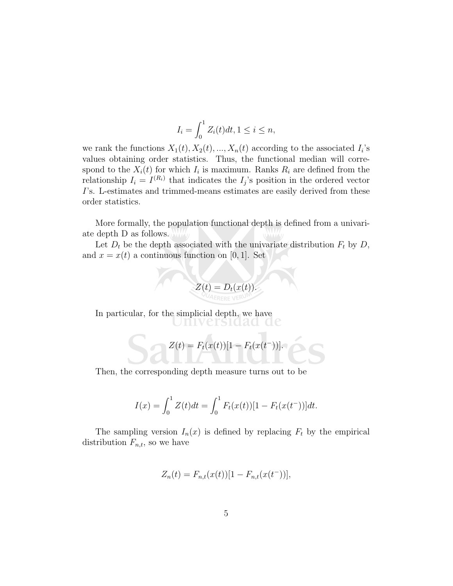$$
I_i = \int_0^1 Z_i(t)dt, 1 \le i \le n,
$$

we rank the functions  $X_1(t), X_2(t), ..., X_n(t)$  according to the associated  $I_i$ 's values obtaining order statistics. Thus, the functional median will correspond to the  $X_i(t)$  for which  $I_i$  is maximum. Ranks  $R_i$  are defined from the relationship  $I_i = I^{(R_i)}$  that indicates the  $I_j$ 's position in the ordered vector I's. L-estimates and trimmed-means estimates are easily derived from these order statistics.

More formally, the population functional depth is defined from a univariate depth D as follows.

Let  $D_t$  be the depth associated with the univariate distribution  $F_t$  by  $D$ , and  $x = x(t)$  a continuous function on [0, 1]. Set

$$
Z(t)=D_t(x(t)).
$$

In particular, for the simplicial depth, we have Uniiversidad d

$$
Z(t) = F_t(x(t))[1 - F_t(x(t))].
$$

Then, the corresponding depth measure turns out to be

$$
I(x) = \int_0^1 Z(t)dt = \int_0^1 F_t(x(t))[1 - F_t(x(t))]]dt.
$$

The sampling version  $I_n(x)$  is defined by replacing  $F_t$  by the empirical distribution  $F_{n,t}$ , so we have

$$
Z_n(t) = F_{n,t}(x(t))[1 - F_{n,t}(x(t))],
$$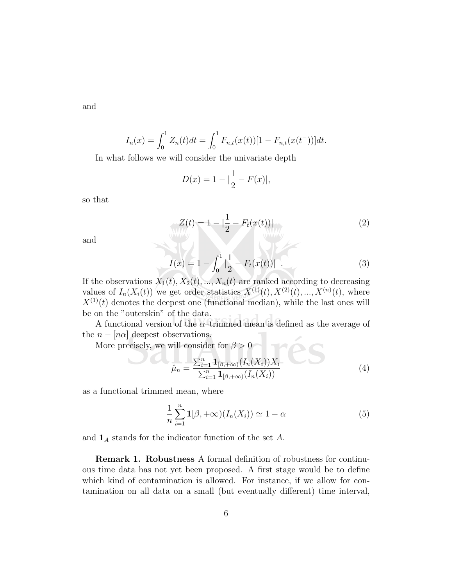and

$$
I_n(x) = \int_0^1 Z_n(t)dt = \int_0^1 F_{n,t}(x(t))[1 - F_{n,t}(x(t))]]dt.
$$

In what follows we will consider the univariate depth

$$
D(x) = 1 - |\frac{1}{2} - F(x)|,
$$

so that

$$
Z(t) = 1 - |\frac{1}{2} - F_t(x(t))|
$$
 (2)

and

$$
I(x) = 1 - \int_0^1 \left| \frac{1}{2} - F_t(x(t)) \right| \tag{3}
$$

If the observations  $X_1(t), X_2(t), ..., X_n(t)$  are ranked according to decreasing values of  $I_n(X_i(t))$  we get order statistics  $X^{(1)}(t), X^{(2)}(t), ..., X^{(n)}(t)$ , where  $X^{(1)}(t)$  denotes the deepest one (functional median), while the last ones will be on the "outerskin" of the data.

A functional version of the  $\alpha$ –trimmed mean is defined as the average of the  $n - [n\alpha]$  deepest observations.  $n - |n\alpha|$  deepest observations.<br>More precisely, we will consider for  $\beta > 0$ 

$$
\hat{\mu}_n = \frac{\sum_{i=1}^n \mathbf{1}_{[\beta, +\infty)} (I_n(X_i)) X_i}{\sum_{i=1}^n \mathbf{1}_{[\beta, +\infty)} (I_n(X_i))}
$$
(4)

as a functional trimmed mean, where

$$
\frac{1}{n}\sum_{i=1}^{n}\mathbf{1}[\beta,+\infty)(I_n(X_i)) \simeq 1-\alpha
$$
\n(5)

and  $\mathbf{1}_A$  stands for the indicator function of the set A.

Remark 1. Robustness A formal definition of robustness for continuous time data has not yet been proposed. A first stage would be to define which kind of contamination is allowed. For instance, if we allow for contamination on all data on a small (but eventually different) time interval,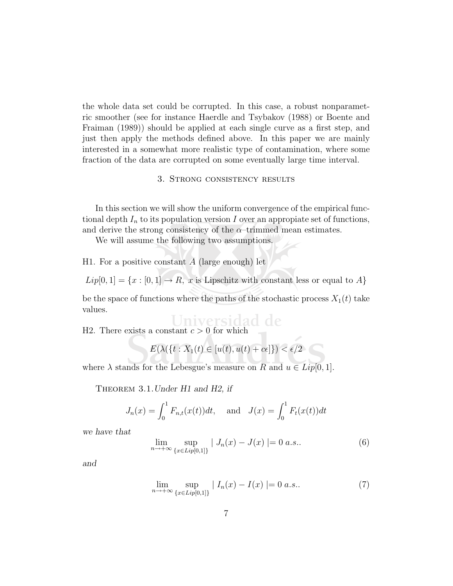the whole data set could be corrupted. In this case, a robust nonparametric smoother (see for instance Haerdle and Tsybakov (1988) or Boente and Fraiman (1989)) should be applied at each single curve as a first step, and just then apply the methods defined above. In this paper we are mainly interested in a somewhat more realistic type of contamination, where some fraction of the data are corrupted on some eventually large time interval.

#### 3. Strong consistency results

In this section we will show the uniform convergence of the empirical functional depth  $I_n$  to its population version I over an appropiate set of functions, and derive the strong consistency of the  $\alpha$ -trimmed mean estimates.

We will assume the following two assumptions.

H1. For a positive constant  $A$  (large enough) let

 $Lip[0,1] = \{x : [0,1] \rightarrow R, x \text{ is Lipschitz with constant less or equal to } A\}$ 

be the space of functions where the paths of the stochastic process  $X_1(t)$  take values.

H2. There exists a constant  $c > 0$  for which

$$
E(\lambda(\{t: X_1(t) \in [u(t), u(t) + c\epsilon]\}) < \epsilon/2
$$

where  $\lambda$  stands for the Lebesgue's measure on R and  $u \in Lip[0,1]$ .

THEOREM 3.1. Under H1 and H2, if

$$
J_n(x) = \int_0^1 F_{n,t}(x(t))dt
$$
, and  $J(x) = \int_0^1 F_t(x(t))dt$ 

we have that

$$
\lim_{n \to +\infty} \sup_{\{x \in Lip[0,1]\}} |J_n(x) - J(x)| = 0 \ a.s.. \tag{6}
$$

and

$$
\lim_{n \to +\infty} \sup_{\{x \in Lip[0,1]\}} |I_n(x) - I(x)| = 0 \ a.s.. \tag{7}
$$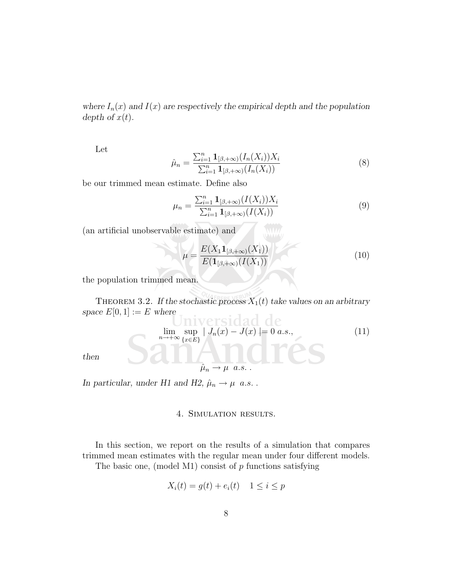where  $I_n(x)$  and  $I(x)$  are respectively the empirical depth and the population depth of  $x(t)$ .

Let

$$
\hat{\mu}_n = \frac{\sum_{i=1}^n \mathbf{1}_{[\beta, +\infty)} (I_n(X_i)) X_i}{\sum_{i=1}^n \mathbf{1}_{[\beta, +\infty)} (I_n(X_i))}
$$
(8)

be our trimmed mean estimate. Define also

$$
\mu_n = \frac{\sum_{i=1}^n \mathbf{1}_{[\beta, +\infty)}(I(X_i))X_i}{\sum_{i=1}^n \mathbf{1}_{[\beta, +\infty)}(I(X_i))}
$$
(9)

(an artificial unobservable estimate) and

$$
\mu = \frac{E(X_1 \mathbf{1}_{[\beta, +\infty)}(X_1))}{E(\mathbf{1}_{[\beta, +\infty)}(I(X_1))}
$$
\n(10)

the population trimmed mean.

THEOREM 3.2. If the stochastic process  $X_1(t)$  take values on an arbitrary space  $E[0,1] := E$  where iversidad de

$$
\lim_{n \to +\infty} \sup_{\{x \in E\}} |J_n(x) - J(x)| = 0 \text{ a.s.},\tag{11}
$$
\n
$$
\hat{\mu}_n \to \mu \quad a.s.
$$

then

In particular, under H1 and H2,  $\hat{\mu}_n \rightarrow \mu$  a.s.

#### 4. Simulation results.

In this section, we report on the results of a simulation that compares trimmed mean estimates with the regular mean under four different models.

The basic one, (model M1) consist of  $p$  functions satisfying

$$
X_i(t) = g(t) + e_i(t) \quad 1 \le i \le p
$$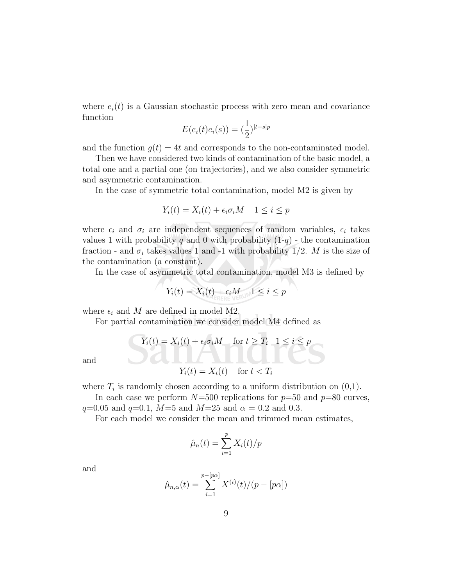where  $e_i(t)$  is a Gaussian stochastic process with zero mean and covariance function

$$
E(e_i(t)e_i(s)) = (\frac{1}{2})^{|t-s|p}
$$

and the function  $q(t) = 4t$  and corresponds to the non-contaminated model.

Then we have considered two kinds of contamination of the basic model, a total one and a partial one (on trajectories), and we also consider symmetric and asymmetric contamination.

In the case of symmetric total contamination, model M2 is given by

$$
Y_i(t) = X_i(t) + \epsilon_i \sigma_i M \quad 1 \le i \le p
$$

where  $\epsilon_i$  and  $\sigma_i$  are independent sequences of random variables,  $\epsilon_i$  takes values 1 with probability q and 0 with probability  $(1-q)$  - the contamination fraction - and  $\sigma_i$  takes values 1 and -1 with probability 1/2. M is the size of the contamination (a constant).

In the case of asymmetric total contamination, model M3 is defined by

$$
Y_i(t) = X_i(t) + \epsilon_i M \quad 1 \leq i \leq p
$$

where  $\epsilon_i$  and M are defined in model M2.

For partial contamination we consider model M4 defined as

$$
Y_i(t) = X_i(t) + \epsilon_i \sigma_i M \quad \text{for } t \ge T_i \quad 1 \le i \le p
$$
  

$$
Y_i(t) = X_i(t) \quad \text{for } t < T_i
$$

and

N

where  $T_i$  is randomly chosen according to a uniform distribution on  $(0,1)$ .

In each case we perform  $N=500$  replications for  $p=50$  and  $p=80$  curves,  $q=0.05$  and  $q=0.1$ ,  $M=5$  and  $M=25$  and  $\alpha = 0.2$  and 0.3.

For each model we consider the mean and trimmed mean estimates,

$$
\hat{\mu}_n(t) = \sum_{i=1}^p X_i(t)/p
$$

and

$$
\hat{\mu}_{n,\alpha}(t) = \sum_{i=1}^{p-[p\alpha]} X^{(i)}(t) / (p - [p\alpha])
$$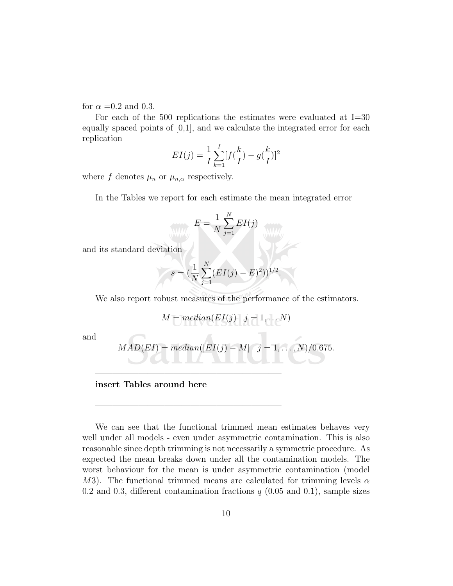for  $\alpha = 0.2$  and 0.3.

For each of the 500 replications the estimates were evaluated at I=30 equally spaced points of  $[0,1]$ , and we calculate the integrated error for each replication

$$
EI(j) = \frac{1}{I} \sum_{k=1}^{I} [f(\frac{k}{I}) - g(\frac{k}{I})]^2
$$

where f denotes  $\mu_n$  or  $\mu_{n,\alpha}$  respectively.

In the Tables we report for each estimate the mean integrated error

$$
\bigvee_{W_{ij}} E = \frac{1}{N} \sum_{j=1}^N EI(j)
$$

and its standard deviation

$$
s = \left(\frac{1}{N} \sum_{j=1}^{N} (EI(j) - E)^2)\right)^{1/2}.
$$

We also report robust measures of the performance of the estimators.

$$
M = median(EI(j) \quad j = 1,...,N)
$$

and

$$
MAD(EI) = median(|EI(j) - M| \quad j = 1, \ldots, N)/0.675.
$$

#### insert Tables around here

—————————————————————–

—————————————————————–

We can see that the functional trimmed mean estimates behaves very well under all models - even under asymmetric contamination. This is also reasonable since depth trimming is not necessarily a symmetric procedure. As expected the mean breaks down under all the contamination models. The worst behaviour for the mean is under asymmetric contamination (model M3). The functional trimmed means are calculated for trimming levels  $\alpha$ 0.2 and 0.3, different contamination fractions  $q$  (0.05 and 0.1), sample sizes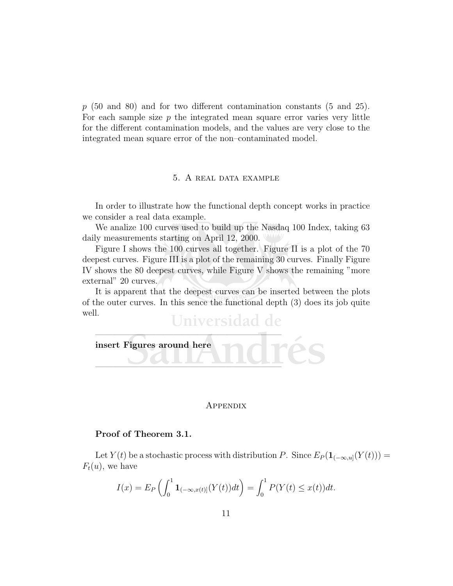$p$  (50 and 80) and for two different contamination constants (5 and 25). For each sample size  $p$  the integrated mean square error varies very little for the different contamination models, and the values are very close to the integrated mean square error of the non–contaminated model.

#### 5. A real data example

In order to illustrate how the functional depth concept works in practice we consider a real data example.

We analize 100 curves used to build up the Nasdaq 100 Index, taking 63 daily measurements starting on April 12, 2000.

Figure I shows the 100 curves all together. Figure II is a plot of the 70 deepest curves. Figure III is a plot of the remaining 30 curves. Finally Figure IV shows the 80 deepest curves, while Figure V shows the remaining "more external" 20 curves.

It is apparent that the deepest curves can be inserted between the plots of the outer curves. In this sence the functional depth (3) does its job quite well. Universidad de

# —————————————————————– insert Figures around here —————————————————————–

#### Appendix

#### Proof of Theorem 3.1.

Let  $Y(t)$  be a stochastic process with distribution P. Since  $E_P(\mathbf{1}_{(-\infty,u]}(Y(t)))$  =  $F_t(u)$ , we have

$$
I(x) = E_P \left( \int_0^1 \mathbf{1}_{(-\infty, x(t)]}(Y(t)) dt \right) = \int_0^1 P(Y(t) \le x(t)) dt.
$$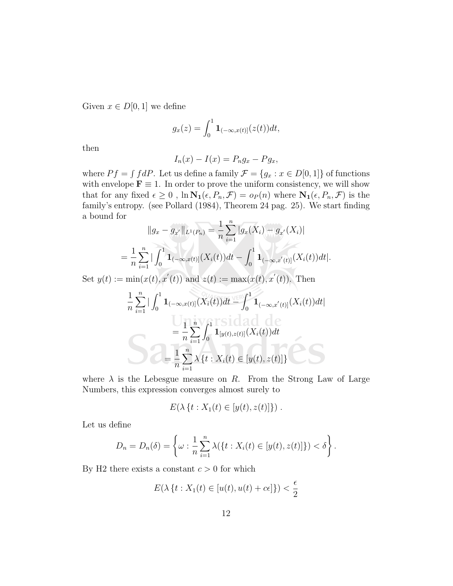Given  $x \in D[0,1]$  we define

$$
g_x(z) = \int_0^1 \mathbf{1}_{(-\infty, x(t)]}(z(t))dt,
$$

then

$$
I_n(x) - I(x) = P_n g_x - P g_x,
$$

where  $Pf = \int f dP$ . Let us define a family  $\mathcal{F} = \{g_x : x \in D[0,1]\}$  of functions with envelope  $\mathbf{F} \equiv 1$ . In order to prove the uniform consistency, we will show that for any fixed  $\epsilon \geq 0$ ,  $\ln N_1(\epsilon, P_n, \mathcal{F}) = o_P(n)$  where  $N_1(\epsilon, P_n, \mathcal{F})$  is the family's entropy. (see Pollard (1984), Theorem 24 pag. 25). We start finding a bound for

$$
||g_x - g_{x'}||_{L^1(P_n)} = \frac{1}{n} \sum_{i=1}^n |g_x(X_i) - g_{x'}(X_i)|
$$
  
= 
$$
\frac{1}{n} \sum_{i=1}^n |\int_0^1 \mathbf{1}_{(-\infty, x(t)]}(X_i(t))dt - \int_0^1 \mathbf{1}_{(-\infty, x'(t)]}(X_i(t))dt|.
$$

Set  $y(t) := min(x(t), x'(t))$  and  $z(t) := max(x(t), x'(t))$ . Then

$$
\frac{1}{n} \sum_{i=1}^{n} \left| \int_{0}^{1} \mathbf{1}_{(-\infty, x(t)]}(X_{i}(t))dt - \int_{0}^{1} \mathbf{1}_{(-\infty, x'(t)]}(X_{i}(t))dt \right|
$$
\n
$$
= \frac{1}{n} \sum_{i=1}^{n} \int_{0}^{1} \mathbf{1}_{[y(t), z(t)]}(X_{i}(t))dt
$$
\n
$$
= \frac{1}{n} \sum_{i=1}^{n} \lambda \left\{ t : X_{i}(t) \in [y(t), z(t)] \right\}
$$

where  $\lambda$  is the Lebesgue measure on R. From the Strong Law of Large Numbers, this expression converges almost surely to

$$
E(\lambda \{t : X_1(t) \in [y(t), z(t)]\})
$$
.

Let us define

$$
D_n = D_n(\delta) = \left\{ \omega : \frac{1}{n} \sum_{i=1}^n \lambda(\{t : X_i(t) \in [y(t), z(t)]\}) < \delta \right\}.
$$

By H2 there exists a constant  $c > 0$  for which

$$
E(\lambda \{t : X_1(t) \in [u(t), u(t) + c\epsilon] \}) < \frac{\epsilon}{2}
$$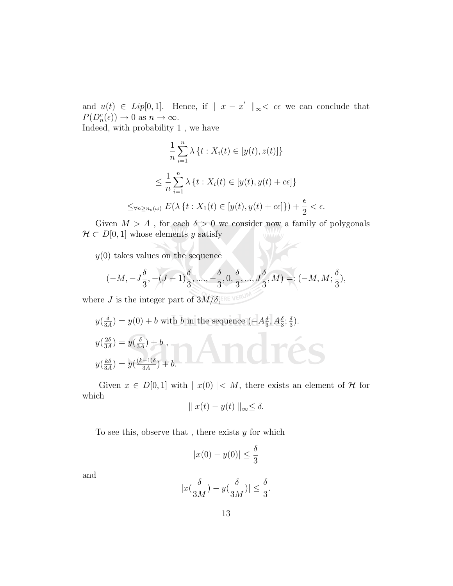and  $u(t) \in Lip[0,1]$ . Hence, if  $||x - x'||_{\infty} < c\epsilon$  we can conclude that  $P(D_n^c(\epsilon)) \to 0 \text{ as } n \to \infty.$ 

Indeed, with probability 1 , we have

$$
\frac{1}{n}\sum_{i=1}^{n}\lambda\left\{t:X_{i}(t)\in[y(t),z(t)]\right\}
$$
\n
$$
\leq \frac{1}{n}\sum_{i=1}^{n}\lambda\left\{t:X_{i}(t)\in[y(t),y(t)+c\epsilon]\right\}
$$
\n
$$
\leq_{\forall n\geq n_{o}(\omega)} E(\lambda\left\{t:X_{1}(t)\in[y(t),y(t)+c\epsilon]\right\})+\frac{\epsilon}{2}<\epsilon.
$$

Given  $M > A$ , for each  $\delta > 0$  we consider now a family of polygonals  $\mathcal{H} \subset D[0,1]$  whose elements y satisfy

 $y(0)$  takes values on the sequence

$$
(-M, -J\frac{\delta}{3}, -(J-1)\frac{\delta}{3}, \dots, -\frac{\delta}{3}, 0, \frac{\delta}{3}, \dots, J\frac{\delta}{3}, M)=: (-M, M; \frac{\delta}{3}),
$$

where J is the integer part of  $3M/\delta$ , ERE VERUM

$$
y\left(\frac{\delta}{3A}\right) = y(0) + b \text{ with } b \text{ in the sequence } \left(-A\frac{\delta}{3}, A\frac{\delta}{3}; \frac{\delta}{3}\right).
$$
  

$$
y\left(\frac{2\delta}{3A}\right) = y\left(\frac{\delta}{3A}\right) + b,
$$
  

$$
y\left(\frac{k\delta}{3A}\right) = y\left(\frac{(k-1)\delta}{3A}\right) + b.
$$

Given  $x \in D[0,1]$  with  $|x(0)| < M$ , there exists an element of H for which

$$
\|x(t) - y(t)\|_{\infty} \le \delta.
$$

To see this, observe that, there exists  $y$  for which

$$
|x(0) - y(0)| \le \frac{\delta}{3}
$$

and

$$
|x(\frac{\delta}{3M}) - y(\frac{\delta}{3M})| \le \frac{\delta}{3}.
$$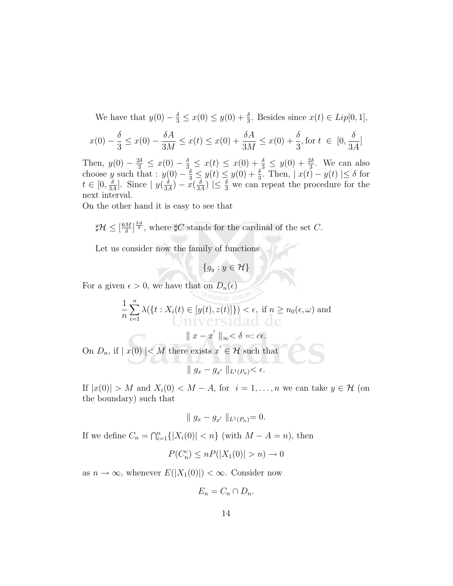We have that  $y(0) - \frac{\delta}{3} \leq x(0) \leq y(0) + \frac{\delta}{3}$  $\frac{\delta}{3}$ . Besides since  $x(t) \in Lip[0, 1],$ 

$$
x(0) - \frac{\delta}{3} \le x(0) - \frac{\delta A}{3M} \le x(t) \le x(0) + \frac{\delta A}{3M} \le x(0) + \frac{\delta}{3}, \text{for } t \in [0, \frac{\delta}{3A}]
$$

Then,  $y(0) - \frac{2\delta}{3} \leq x(0) - \frac{\delta}{3} \leq x(t) \leq x(0) + \frac{\delta}{3} \leq y(0) + \frac{2\delta}{3}$  $\frac{2\delta}{3}$ . We can also choose y such that :  $y(0) - \frac{\delta}{3} \leq y(t) \leq y(0) + \frac{\delta}{3}$  $\frac{\delta}{3}$ . Then,  $|x(t) - y(t)| \leq \delta$  for  $t\in[0,\frac{\delta}{34}]$  $\frac{\delta}{3A}$ . Since  $|y(\frac{\delta}{3A})|$  $\frac{\delta}{3A})-\check{x}(\frac{\delta}{3A})$  $\frac{\delta}{3A}$   $\leq \frac{\delta}{3}$  we can repeat the procedure for the next interval.

On the other hand it is easy to see that

$$
\sharp \mathcal{H} \leq [\frac{6M}{\delta}]^{\frac{3A}{\delta}}, \text{ where } \sharp C \text{ stands for the cardinal of the set } C.
$$

Let us consider now the family of functions

 ${g_y : y \in \mathcal{H}}$ 

For a given  $\epsilon > 0$ , we have that on  $D_n(\epsilon)$ 

$$
\frac{1}{n}\sum_{i=1}^{n}\lambda(\lbrace t:X_{i}(t)\in[y(t),z(t)]\rbrace)<\epsilon, \text{ if } n\geq n_{0}(\epsilon,\omega) \text{ and}
$$

 $\parallel x - x' \parallel_{\infty} < \delta =: c\epsilon.$ 

On  $D_n$ , if  $|x(0)| < M$  there exists  $x' \in \mathcal{H}$  such that

$$
\parallel g_x - g_{x'} \parallel_{L^1(P_n)} < \epsilon.
$$

If  $|x(0)| > M$  and  $X_i(0) < M - A$ , for  $i = 1, ..., n$  we can take  $y \in H$  (on the boundary) such that

$$
\| g_x - g_{x'} \|_{L^1(P_n)} = 0.
$$

If we define  $C_n = \bigcap_{i=1}^n \{|X_i(0)| < n\}$  (with  $M - A = n$ ), then

$$
P(C_n^c) \le nP(|X_1(0)| > n) \to 0
$$

as  $n \to \infty$ , whenever  $E(|X_1(0)|) < \infty$ . Consider now

$$
E_n = C_n \cap D_n.
$$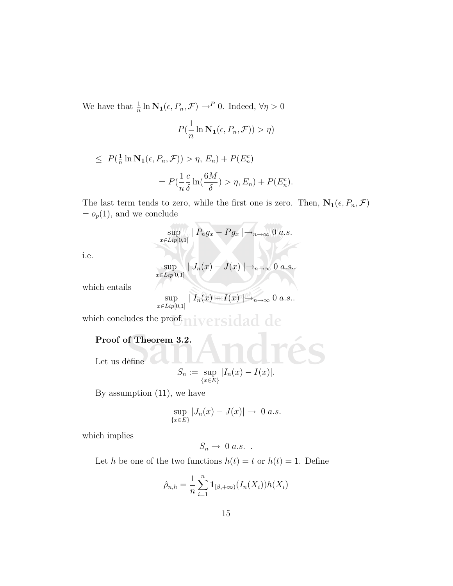We have that  $\frac{1}{n} \ln \mathbf{N_1}(\epsilon, P_n, \mathcal{F}) \rightarrow^P 0$ . Indeed,  $\forall \eta > 0$ 

$$
P(\frac{1}{n}\ln \mathbf{N_1}(\epsilon, P_n, \mathcal{F})) > \eta)
$$

$$
\leq P(\frac{1}{n}\ln N_1(\epsilon, P_n, \mathcal{F})) > \eta, E_n) + P(E_n^c)
$$

$$
= P(\frac{1}{n}\frac{c}{\delta}\ln(\frac{6M}{\delta}) > \eta, E_n) + P(E_n^c).
$$

The last term tends to zero, while the first one is zero. Then,  $N_1(\epsilon, P_n, \mathcal{F})$  $= o_p(1)$ , and we conclude

$$
\sup_{x \in Lip[0,1]} | P_n g_x - P g_x | \rightarrow_{n \to \infty} 0 \ a.s.
$$

i.e.

$$
\sup_{x \in Lip[0,1]} | J_n(x) - J(x) | \rightarrow_{n \to \infty} 0 \text{ a.s.}.
$$

which entails

$$
\sup_{x \in Lip[0,1]} |I_n(x) - I(x)| \rightarrow_{n \to \infty} 0 \text{ a.s.}.
$$

which concludes the proof. niversidad de

## Proof of Theorem 3.2.

Let us define

$$
S_n := \sup_{\{x \in E\}} |I_n(x) - I(x)|.
$$

By assumption (11), we have

$$
\sup_{\{x\in E\}} |J_n(x) - J(x)| \to 0 \text{ a.s.}
$$

which implies

$$
S_n \to 0 \ a.s. .
$$

Let h be one of the two functions  $h(t) = t$  or  $h(t) = 1$ . Define

$$
\hat{\rho}_{n,h} = \frac{1}{n} \sum_{i=1}^{n} \mathbf{1}_{[\beta, +\infty)} (I_n(X_i)) h(X_i)
$$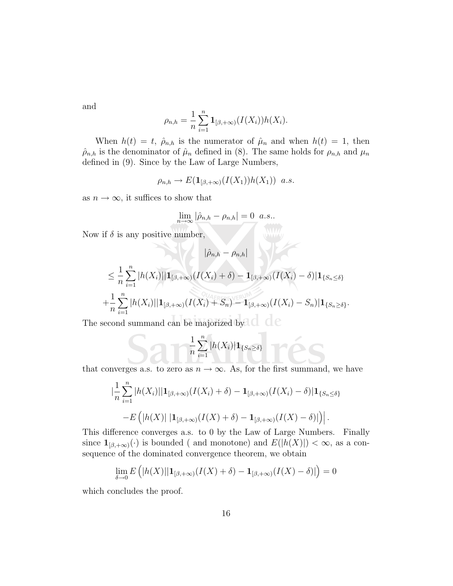and

$$
\rho_{n,h} = \frac{1}{n} \sum_{i=1}^{n} \mathbf{1}_{[\beta, +\infty)}(I(X_i))h(X_i).
$$

When  $h(t) = t$ ,  $\hat{\rho}_{n,h}$  is the numerator of  $\hat{\mu}_n$  and when  $h(t) = 1$ , then  $\hat{\rho}_{n,h}$  is the denominator of  $\hat{\mu}_n$  defined in (8). The same holds for  $\rho_{n,h}$  and  $\mu_n$ defined in (9). Since by the Law of Large Numbers,

$$
\rho_{n,h} \to E(\mathbf{1}_{[\beta,+\infty)}(I(X_1))h(X_1)) \ \ a.s.
$$

as  $n \to \infty$ , it suffices to show that

$$
\lim_{n \to \infty} |\hat{\rho}_{n,h} - \rho_{n,h}| = 0 \ \ a.s..
$$

Now if  $\delta$  is any positive number,

$$
|\hat{\rho}_{n,h}-\rho_{n,h}|
$$

$$
\leq \frac{1}{n} \sum_{i=1}^{n} |h(X_i)||1_{[\beta,+\infty)}(I(X_i) + \delta) - 1_{[\beta,+\infty)}(I(X_i) - \delta)|1_{\{S_n \leq \delta\}} + \frac{1}{n} \sum_{i=1}^{n} |h(X_i)||1_{[\beta,+\infty)}(I(X_i) + S_n) - 1_{[\beta,+\infty)}(I(X_i) - S_n)|1_{\{S_n \geq \delta\}}.
$$

The second summand can be majorized by  $\Box$ 

$$
-\frac{1}{n}\sum_{i=1}^n|h(X_i)|\mathbf{1}_{\{S_n\geq\delta\}}
$$

that converges a.s. to zero as  $n \to \infty$ . As, for the first summand, we have

$$
\left| \frac{1}{n} \sum_{i=1}^{n} |h(X_i)| |\mathbf{1}_{[\beta, +\infty)}(I(X_i) + \delta) - \mathbf{1}_{[\beta, +\infty)}(I(X_i) - \delta) |\mathbf{1}_{\{S_n \le \delta\}} \right|
$$
  
-E\left( |h(X)| |\mathbf{1}\_{[\beta, +\infty)}(I(X) + \delta) - \mathbf{1}\_{[\beta, +\infty)}(I(X) - \delta) | \right).

This difference converges a.s. to 0 by the Law of Large Numbers. Finally since  $\mathbf{1}_{[\beta,+\infty)}(\cdot)$  is bounded ( and monotone) and  $E(|h(X)|) < \infty$ , as a consequence of the dominated convergence theorem, we obtain

$$
\lim_{\delta \to 0} E\left( |h(X)| |\mathbf{1}_{[\beta, +\infty)}(I(X) + \delta) - \mathbf{1}_{[\beta, +\infty)}(I(X) - \delta) | \right) = 0
$$

which concludes the proof.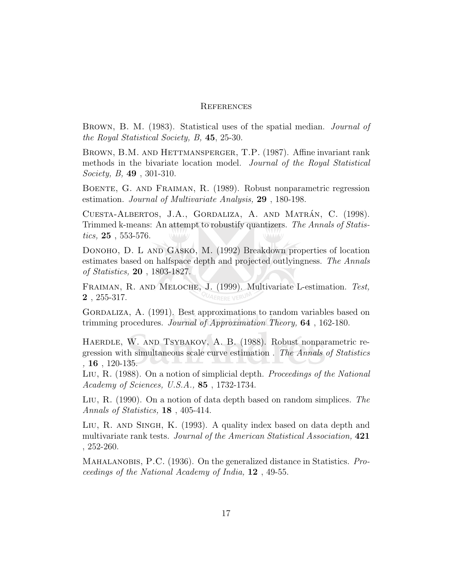#### **REFERENCES**

Brown, B. M. (1983). Statistical uses of the spatial median. Journal of the Royal Statistical Society, B, 45, 25-30.

BROWN, B.M. AND HETTMANSPERGER, T.P. (1987). Affine invariant rank methods in the bivariate location model. Journal of the Royal Statistical Society, B, 49 , 301-310.

Boente, G. and Fraiman, R. (1989). Robust nonparametric regression estimation. Journal of Multivariate Analysis, 29 , 180-198.

CUESTA-ALBERTOS, J.A., GORDALIZA, A. AND MATRÁN, C. (1998). Trimmed k-means: An attempt to robustify quantizers. The Annals of Statistics,  $25, 553-576$ .

Donoho, D. L and Gasko, M. (1992) Breakdown properties of location estimates based on halfspace depth and projected outlyingness. The Annals of Statistics, 20 , 1803-1827.

Fraiman, R. and Meloche, J. (1999). Multivariate L-estimation. Test, 2 , 255-317.

GORDALIZA, A. (1991). Best approximations to random variables based on trimming procedures. Journal of Approximation Theory, 64 , 162-180.

HAERDLE, W. AND TSYBAKOV, A. B. (1988). Robust nonparametric regression with simultaneous scale curve estimation . The Annals of Statistics ,  $16$ ,  $120-135$ .

Liu, R. (1988). On a notion of simplicial depth. Proceedings of the National Academy of Sciences, U.S.A., 85 , 1732-1734.

LIU, R. (1990). On a notion of data depth based on random simplices. The Annals of Statistics, 18 , 405-414.

Liu, R. and Singh, K. (1993). A quality index based on data depth and multivariate rank tests. Journal of the American Statistical Association, 421 , 252-260.

Mahalanobis, P.C. (1936). On the generalized distance in Statistics. Proceedings of the National Academy of India, 12 , 49-55.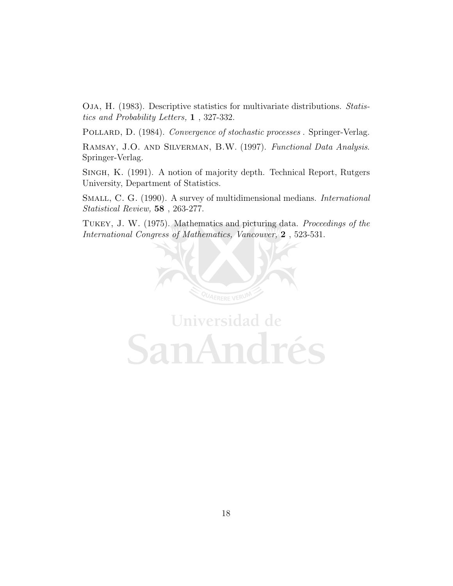Oja, H. (1983). Descriptive statistics for multivariate distributions. Statistics and Probability Letters, 1 , 327-332.

POLLARD, D. (1984). Convergence of stochastic processes . Springer-Verlag.

Ramsay, J.O. and Silverman, B.W. (1997). Functional Data Analysis. Springer-Verlag.

Singh, K. (1991). A notion of majority depth. Technical Report, Rutgers University, Department of Statistics.

SMALL, C. G. (1990). A survey of multidimensional medians. *International* Statistical Review, 58 , 263-277.

Tukey, J. W. (1975). Mathematics and picturing data. Proceedings of the International Congress of Mathematics, Vancouver, 2 , 523-531.



Universidad de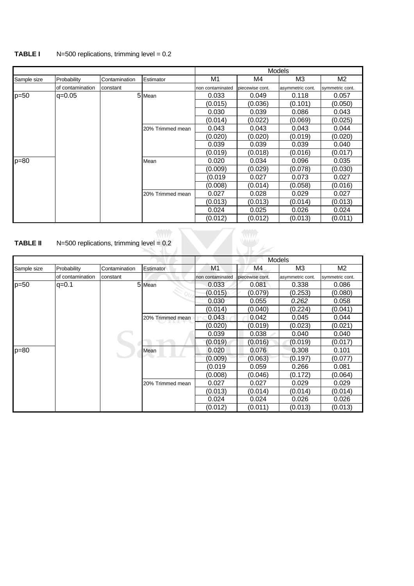#### **TABLE I** N=500 replications, trimming level = 0.2

|             |                  |               |                  | <b>Models</b>    |                 |                  |                 |  |
|-------------|------------------|---------------|------------------|------------------|-----------------|------------------|-----------------|--|
| Sample size | Probability      | Contamination | Estimator        | M1               | M4              | M <sub>3</sub>   | M <sub>2</sub>  |  |
|             | of contamination | constant      |                  | non contaminated | piecewise cont. | asymmetric cont. | symmetric cont. |  |
| $p=50$      | $ q=0.05 $       |               | 5 Mean           | 0.033            | 0.049           | 0.118            | 0.057           |  |
|             |                  |               |                  | (0.015)          | (0.036)         | (0.101)          | (0.050)         |  |
|             |                  |               |                  | 0.030            | 0.039           | 0.086            | 0.043           |  |
|             |                  |               |                  | (0.014)          | (0.022)         | (0.069)          | (0.025)         |  |
|             |                  |               | 20% Trimmed mean | 0.043            | 0.043           | 0.043            | 0.044           |  |
|             |                  |               |                  | (0.020)          | (0.020)         | (0.019)          | (0.020)         |  |
|             |                  |               |                  | 0.039            | 0.039           | 0.039            | 0.040           |  |
|             |                  |               |                  | (0.019)          | (0.018)         | (0.016)          | (0.017)         |  |
| $p = 80$    |                  |               | Mean             | 0.020            | 0.034           | 0.096            | 0.035           |  |
|             |                  |               |                  | (0.009)          | (0.029)         | (0.078)          | (0.030)         |  |
|             |                  |               |                  | (0.019           | 0.027           | 0.073            | 0.027           |  |
|             |                  |               |                  | (0.008)          | (0.014)         | (0.058)          | (0.016)         |  |
|             |                  |               | 20% Trimmed mean | 0.027            | 0.028           | 0.029            | 0.027           |  |
|             |                  |               |                  | (0.013)          | (0.013)         | (0.014)          | (0.013)         |  |
|             |                  |               |                  | 0.024            | 0.025           | 0.026            | 0.024           |  |
|             |                  |               |                  | (0.012)          | (0.012)         | (0.013)          | (0.011)         |  |

# **TABLE II**  $N=500$  replications, trimming level =  $0.2$

| <b>TABLE II</b> | $N=500$ replications, trimming level = 0.2 |               |                  |                  |                 |                  |                 |  |  |
|-----------------|--------------------------------------------|---------------|------------------|------------------|-----------------|------------------|-----------------|--|--|
|                 |                                            |               |                  |                  |                 | <b>Models</b>    |                 |  |  |
| Sample size     | Probability                                | Contamination | Estimator        | M <sub>1</sub>   | M4              | M <sub>3</sub>   | M2              |  |  |
|                 | of contamination                           | constant      |                  | non contaminated | piecewise cont. | asymmetric cont. | symmetric cont. |  |  |
| $p = 50$        | $q = 0.1$                                  |               | 5 Mean           | 0.033            | 0.081           | 0.338            | 0.086           |  |  |
|                 |                                            |               |                  | (0.015)          | (0.079)         | (0.253)          | (0.080)         |  |  |
|                 |                                            |               |                  | 0.030            | 0.055           | 0.262            | 0.058           |  |  |
|                 |                                            |               |                  | (0.014)          | (0.040)         | (0.224)          | (0.041)         |  |  |
|                 |                                            |               | 20% Trimmed mean | 0.043            | 0.042           | 0.045            | 0.044           |  |  |
|                 |                                            |               |                  | (0.020)          | (0.019)         | (0.023)          | (0.021)         |  |  |
|                 |                                            |               |                  | 0.039            | 0.038           | 0.040            | 0.040           |  |  |
|                 |                                            |               |                  | (0.019)          | (0.016)         | (0.019)          | (0.017)         |  |  |
| $p = 80$        |                                            |               | Mean             | 0.020            | 0.076           | 0.308            | 0.101           |  |  |
|                 |                                            |               |                  | (0.009)          | (0.063)         | (0.197)          | (0.077)         |  |  |
|                 |                                            |               |                  | (0.019           | 0.059           | 0.266            | 0.081           |  |  |
|                 |                                            |               |                  | (0.008)          | (0.046)         | (0.172)          | (0.064)         |  |  |
|                 |                                            |               | 20% Trimmed mean | 0.027            | 0.027           | 0.029            | 0.029           |  |  |
|                 |                                            |               |                  | (0.013)          | (0.014)         | (0.014)          | (0.014)         |  |  |
|                 |                                            |               |                  | 0.024            | 0.024           | 0.026            | 0.026           |  |  |
|                 |                                            |               |                  | (0.012)          | (0.011)         | (0.013)          | (0.013)         |  |  |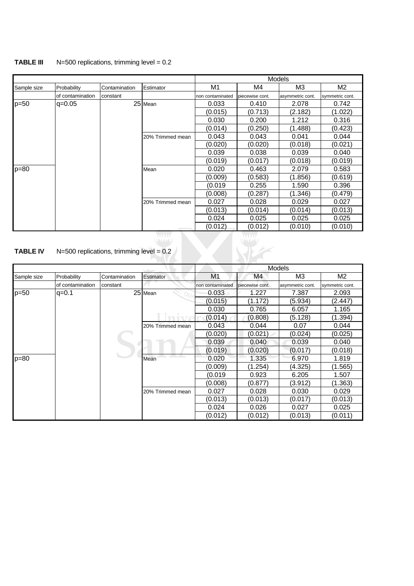#### **TABLE III** N=500 replications, trimming level = 0.2

l.

|             |                  |               |                  | <b>Models</b>    |                 |                  |                 |
|-------------|------------------|---------------|------------------|------------------|-----------------|------------------|-----------------|
| Sample size | Probability      | Contamination | Estimator        | M1               | M4              | M3               | M <sub>2</sub>  |
|             | of contamination | constant      |                  | non contaminated | piecewise cont. | asymmetric cont. | symmetric cont. |
| $p=50$      | $q = 0.05$       |               | 25 Mean          | 0.033            | 0.410           | 2.078            | 0.742           |
|             |                  |               |                  | (0.015)          | (0.713)         | (2.182)          | (1.022)         |
|             |                  |               |                  | 0.030            | 0.200           | 1.212            | 0.316           |
|             |                  |               |                  | (0.014)          | (0.250)         | (1.488)          | (0.423)         |
|             |                  |               | 20% Trimmed mean | 0.043            | 0.043           | 0.041            | 0.044           |
|             |                  |               |                  | (0.020)          | (0.020)         | (0.018)          | (0.021)         |
|             |                  |               |                  | 0.039            | 0.038           | 0.039            | 0.040           |
|             |                  |               |                  | (0.019)          | (0.017)         | (0.018)          | (0.019)         |
| $p = 80$    |                  |               | Mean             | 0.020            | 0.463           | 2.079            | 0.583           |
|             |                  |               |                  | (0.009)          | (0.583)         | (1.856)          | (0.619)         |
|             |                  |               |                  | (0.019           | 0.255           | 1.590            | 0.396           |
|             |                  |               |                  | (0.008)          | (0.287)         | (1.346)          | (0.479)         |
|             |                  |               | 20% Trimmed mean | 0.027            | 0.028           | 0.029            | 0.027           |
|             |                  |               |                  | (0.013)          | (0.014)         | (0.014)          | (0.013)         |
|             |                  |               |                  | 0.024            | 0.025           | 0.025            | 0.025           |
|             |                  |               |                  | (0.012)          | (0.012)         | (0.010)          | (0.010)         |
|             |                  |               | WWV              |                  | WWW             |                  |                 |

#### **TABLE IV**  $N=500$  replications, trimming level =  $0.2$

|             |                  |               |                  | Models           |                 |                  |                 |
|-------------|------------------|---------------|------------------|------------------|-----------------|------------------|-----------------|
| Sample size | Probability      | Contamination | Estimator        | M1               | M4              | M3               | M2              |
|             | of contamination | constant      |                  | non contaminated | piecewise cont. | asymmetric cont. | symmetric cont. |
| $p=50$      | $q = 0.1$        |               | 25 Mean          | 0.033            | 1.227           | 7.387            | 2.093           |
|             |                  |               |                  | (0.015)          | (1.172)         | (5.934)          | (2.447)         |
|             |                  |               |                  | 0.030            | 0.765           | 6.057            | 1.165           |
|             |                  |               |                  | (0.014)          | (0.808)         | (5.128)          | (1.394)         |
|             |                  |               | 20% Trimmed mean | 0.043            | 0.044           | 0.07             | 0.044           |
|             |                  |               |                  | (0.020)          | (0.021`         | (0.024)          | (0.025)         |
|             |                  |               |                  | 0.039            | 0.040           | 0.039            | 0.040           |
|             |                  |               |                  | (0.019)          | (0.020)         | (0.017)          | (0.018)         |
| p=80        |                  |               | Mean             | 0.020            | 1.335           | 6.970            | 1.819           |
|             |                  |               |                  | (0.009)          | (1.254)         | (4.325)          | (1.565)         |
|             |                  |               |                  | (0.019           | 0.923           | 6.205            | 1.507           |
|             |                  |               |                  | (0.008)          | (0.877)         | (3.912)          | (1.363)         |
|             |                  |               | 20% Trimmed mean | 0.027            | 0.028           | 0.030            | 0.029           |
|             |                  |               |                  | (0.013)          | (0.013)         | (0.017)          | (0.013)         |
|             |                  |               |                  | 0.024            | 0.026           | 0.027            | 0.025           |
|             |                  |               |                  | (0.012)          | (0.012)         | (0.013)          | (0.011)         |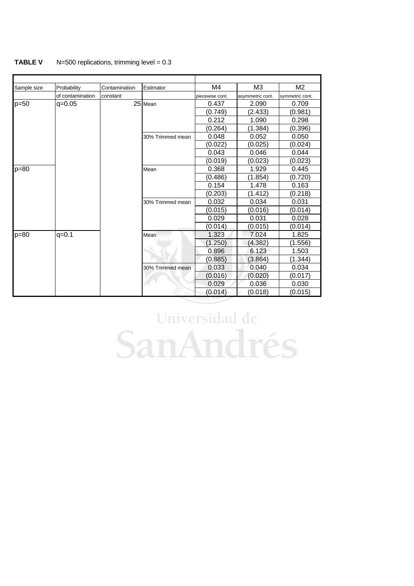#### **TABLE V** N=500 replications, trimming level = 0.3

| Sample size | Probability      | Contamination | Estimator        | M4              | M <sub>3</sub>   | M <sub>2</sub>  |
|-------------|------------------|---------------|------------------|-----------------|------------------|-----------------|
|             | of contamination | constant      |                  | piecewise cont. | asymmetric cont. | symmetric cont. |
| $p=50$      | $q = 0.05$       |               | 25 Mean          | 0.437           | 2.090            | 0.709           |
|             |                  |               |                  | (0.749)         | (2.433)          | (0.981)         |
|             |                  |               |                  | 0.212           | 1.090            | 0.298           |
|             |                  |               |                  | (0.264)         | (1.384)          | (0.396)         |
|             |                  |               | 30% Trimmed mean | 0.048           | 0.052            | 0.050           |
|             |                  |               |                  | (0.022)         | (0.025)          | (0.024)         |
|             |                  |               |                  | 0.043           | 0.046            | 0.044           |
|             |                  |               |                  | (0.019)         | (0.023)          | (0.023)         |
| $p = 80$    |                  |               | Mean             | 0.368           | 1.929            | 0.445           |
|             |                  |               |                  | (0.486)         | (1.854)          | (0.720)         |
|             |                  |               |                  | 0.154           | 1.478            | 0.163           |
|             |                  |               |                  | (0.203)         | (1.412)          | (0.218)         |
|             |                  |               | 30% Trimmed mean | 0.032           | 0.034            | 0.031           |
|             |                  |               |                  | (0.015)         | (0.016)          | (0.014)         |
|             |                  |               |                  | 0.029           | 0.031            | 0.028           |
|             |                  |               |                  | (0.014)         | (0.015)          | (0.014)         |
| $p=80$      | $q = 0.1$        |               | Mean             | 1.323           | 7.024            | 1.825           |
|             |                  |               | <b>UMAIA</b>     | (1.250)         | (4.382)          | (1.556)         |
|             |                  |               |                  | 0.896           | 6.123            | 1.503           |
|             |                  |               |                  | (0.885)         | (3.864)          | (1.344)         |
|             |                  |               | 30% Trimmed mean | 0.033           | 0.040            | 0.034           |
|             |                  |               |                  | (0.016)         | (0.020)          | (0.017)         |
|             |                  |               |                  | 0.029           | 0.036            | 0.030           |
|             |                  |               |                  | (0.014)         | (0.018)          | (0.015)         |

# Universidad de SanAndrés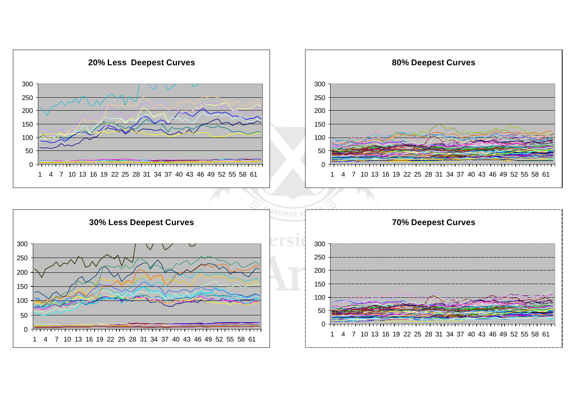